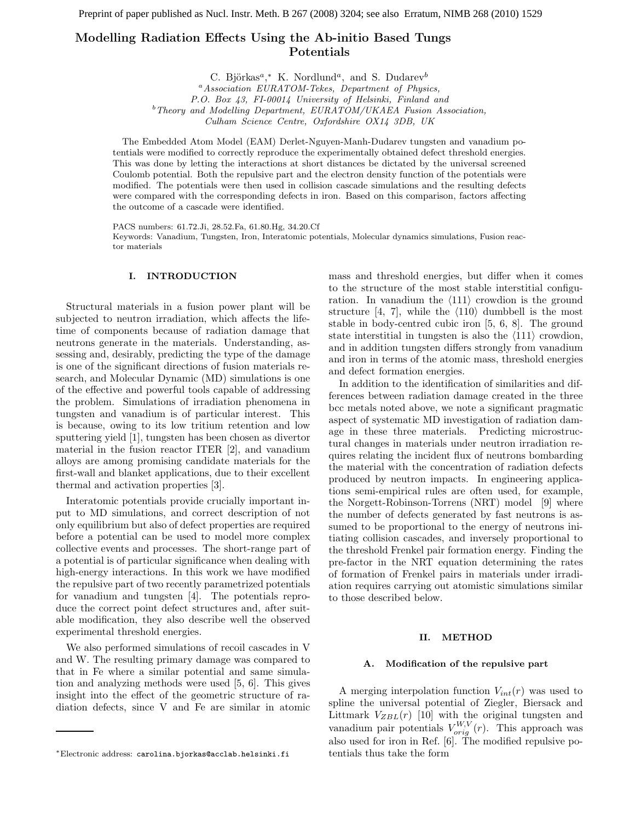### Modelling Radiation Effects Using the Ab-initio Based Tungs Potentials

C. Björkas<sup>a</sup>,\* K. Nordlund<sup>a</sup>, and S. Dudarev<sup>b</sup> <sup>a</sup> Association EURATOM-Tekes, Department of Physics, P.O. Box 43, FI-00014 University of Helsinki, Finland and  $b$ <sup>b</sup> Theory and Modelling Department, EURATOM/UKAEA Fusion Association, Culham Science Centre, Oxfordshire OX14 3DB, UK

The Embedded Atom Model (EAM) Derlet-Nguyen-Manh-Dudarev tungsten and vanadium potentials were modified to correctly reproduce the experimentally obtained defect threshold energies. This was done by letting the interactions at short distances be dictated by the universal screened Coulomb potential. Both the repulsive part and the electron density function of the potentials were modified. The potentials were then used in collision cascade simulations and the resulting defects were compared with the corresponding defects in iron. Based on this comparison, factors affecting the outcome of a cascade were identified.

PACS numbers: 61.72.Ji, 28.52.Fa, 61.80.Hg, 34.20.Cf Keywords: Vanadium, Tungsten, Iron, Interatomic potentials, Molecular dynamics simulations, Fusion reactor materials

#### I. INTRODUCTION

Structural materials in a fusion power plant will be subjected to neutron irradiation, which affects the lifetime of components because of radiation damage that neutrons generate in the materials. Understanding, assessing and, desirably, predicting the type of the damage is one of the significant directions of fusion materials research, and Molecular Dynamic (MD) simulations is one of the effective and powerful tools capable of addressing the problem. Simulations of irradiation phenomena in tungsten and vanadium is of particular interest. This is because, owing to its low tritium retention and low sputtering yield [1], tungsten has been chosen as divertor material in the fusion reactor ITER [2], and vanadium alloys are among promising candidate materials for the first-wall and blanket applications, due to their excellent thermal and activation properties [3].

Interatomic potentials provide crucially important input to MD simulations, and correct description of not only equilibrium but also of defect properties are required before a potential can be used to model more complex collective events and processes. The short-range part of a potential is of particular significance when dealing with high-energy interactions. In this work we have modified the repulsive part of two recently parametrized potentials for vanadium and tungsten [4]. The potentials reproduce the correct point defect structures and, after suitable modification, they also describe well the observed experimental threshold energies.

We also performed simulations of recoil cascades in V and W. The resulting primary damage was compared to that in Fe where a similar potential and same simulation and analyzing methods were used [5, 6]. This gives insight into the effect of the geometric structure of radiation defects, since V and Fe are similar in atomic

mass and threshold energies, but differ when it comes to the structure of the most stable interstitial configuration. In vanadium the  $\langle 111 \rangle$  crowdion is the ground structure [4, 7], while the  $\langle 110 \rangle$  dumbbell is the most stable in body-centred cubic iron [5, 6, 8]. The ground state interstitial in tungsten is also the  $\langle 111 \rangle$  crowdion, and in addition tungsten differs strongly from vanadium and iron in terms of the atomic mass, threshold energies and defect formation energies.

In addition to the identification of similarities and differences between radiation damage created in the three bcc metals noted above, we note a significant pragmatic aspect of systematic MD investigation of radiation damage in these three materials. Predicting microstructural changes in materials under neutron irradiation requires relating the incident flux of neutrons bombarding the material with the concentration of radiation defects produced by neutron impacts. In engineering applications semi-empirical rules are often used, for example, the Norgett-Robinson-Torrens (NRT) model [9] where the number of defects generated by fast neutrons is assumed to be proportional to the energy of neutrons initiating collision cascades, and inversely proportional to the threshold Frenkel pair formation energy. Finding the pre-factor in the NRT equation determining the rates of formation of Frenkel pairs in materials under irradiation requires carrying out atomistic simulations similar to those described below.

#### II. METHOD

#### A. Modification of the repulsive part

A merging interpolation function  $V_{int}(r)$  was used to spline the universal potential of Ziegler, Biersack and Littmark  $V_{ZBL}(r)$  [10] with the original tungsten and vanadium pair potentials  $V_{orig}^{W,V}(r)$ . This approach was also used for iron in Ref. [6]. The modified repulsive potentials thus take the form

<sup>∗</sup>Electronic address: carolina.bjorkas@acclab.helsinki.fi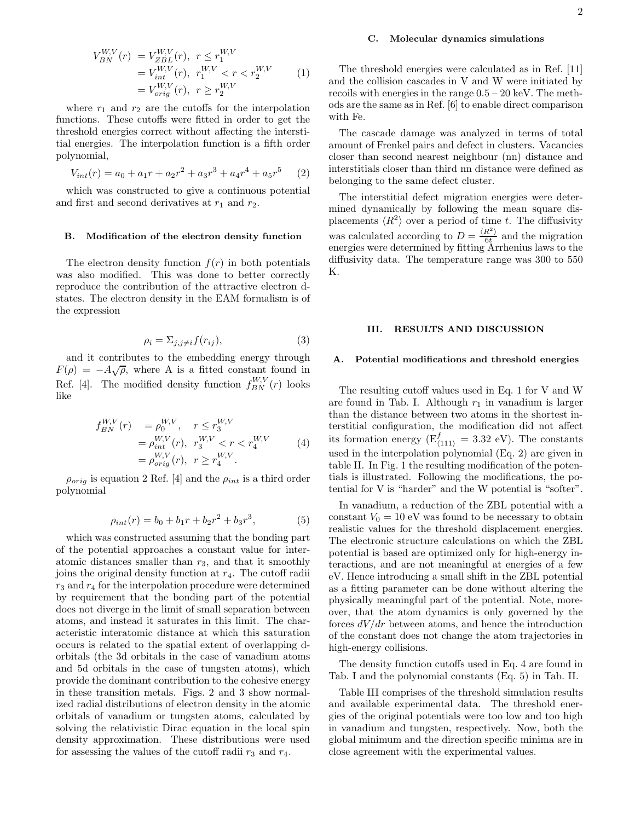$$
V_{BN}^{W,V}(r) = V_{ZBL}^{W,V}(r), \quad r \le r_1^{W,V} \n= V_{int}^{W,V}(r), \quad r_1^{W,V} < r < r_2^{W,V} \n= V_{orig}^{W,V}(r), \quad r \ge r_2^{W,V}
$$
\n(1)

where  $r_1$  and  $r_2$  are the cutoffs for the interpolation functions. These cutoffs were fitted in order to get the threshold energies correct without affecting the interstitial energies. The interpolation function is a fifth order polynomial,

$$
V_{int}(r) = a_0 + a_1r + a_2r^2 + a_3r^3 + a_4r^4 + a_5r^5 \tag{2}
$$

which was constructed to give a continuous potential and first and second derivatives at  $r_1$  and  $r_2$ .

#### B. Modification of the electron density function

The electron density function  $f(r)$  in both potentials was also modified. This was done to better correctly reproduce the contribution of the attractive electron dstates. The electron density in the EAM formalism is of the expression

$$
\rho_i = \sum_{j,j \neq i} f(r_{ij}),\tag{3}
$$

and it contributes to the embedding energy through  $F(\rho) = -A\sqrt{\rho}$ , where A is a fitted constant found in Ref. [4]. The modified density function  $f_{BN}^{W,V}(r)$  looks like

$$
f_{BN}^{W,V}(r) = \rho_0^{W,V}, \quad r \le r_3^{W,V} = \rho_{int}^{W,V}(r), \quad r_3^{W,V} < r < r_4^{W,V} = \rho_{orig}^{W,V}(r), \quad r \ge r_4^{W,V}.
$$
 (4)

 $\rho_{orig}$  is equation 2 Ref. [4] and the  $\rho_{int}$  is a third order polynomial

$$
\rho_{int}(r) = b_0 + b_1r + b_2r^2 + b_3r^3, \tag{5}
$$

which was constructed assuming that the bonding part of the potential approaches a constant value for interatomic distances smaller than  $r_3$ , and that it smoothly joins the original density function at  $r_4$ . The cutoff radii  $r_3$  and  $r_4$  for the interpolation procedure were determined by requirement that the bonding part of the potential does not diverge in the limit of small separation between atoms, and instead it saturates in this limit. The characteristic interatomic distance at which this saturation occurs is related to the spatial extent of overlapping dorbitals (the 3d orbitals in the case of vanadium atoms and 5d orbitals in the case of tungsten atoms), which provide the dominant contribution to the cohesive energy in these transition metals. Figs. 2 and 3 show normalized radial distributions of electron density in the atomic orbitals of vanadium or tungsten atoms, calculated by solving the relativistic Dirac equation in the local spin density approximation. These distributions were used for assessing the values of the cutoff radii  $r_3$  and  $r_4$ .

#### C. Molecular dynamics simulations

The threshold energies were calculated as in Ref. [11] and the collision cascades in V and W were initiated by recoils with energies in the range 0.5 – 20 keV. The methods are the same as in Ref. [6] to enable direct comparison with Fe.

The cascade damage was analyzed in terms of total amount of Frenkel pairs and defect in clusters. Vacancies closer than second nearest neighbour (nn) distance and interstitials closer than third nn distance were defined as belonging to the same defect cluster.

The interstitial defect migration energies were determined dynamically by following the mean square displacements  $\langle R^2 \rangle$  over a period of time t. The diffusivity was calculated according to  $D = \frac{\langle R^2 \rangle}{6t}$  and the migration energies were determined by fitting Arrhenius laws to the diffusivity data. The temperature range was 300 to 550 K.

#### III. RESULTS AND DISCUSSION

#### A. Potential modifications and threshold energies

The resulting cutoff values used in Eq. 1 for V and W are found in Tab. I. Although  $r_1$  in vanadium is larger than the distance between two atoms in the shortest interstitial configuration, the modification did not affect its formation energy ( $E_{(111)}^f = 3.32$  eV). The constants used in the interpolation polynomial (Eq. 2) are given in table II. In Fig. 1 the resulting modification of the potentials is illustrated. Following the modifications, the potential for V is "harder" and the W potential is "softer".

In vanadium, a reduction of the ZBL potential with a constant  $V_0 = 10$  eV was found to be necessary to obtain realistic values for the threshold displacement energies. The electronic structure calculations on which the ZBL potential is based are optimized only for high-energy interactions, and are not meaningful at energies of a few eV. Hence introducing a small shift in the ZBL potential as a fitting parameter can be done without altering the physically meaningful part of the potential. Note, moreover, that the atom dynamics is only governed by the forces  $dV/dr$  between atoms, and hence the introduction of the constant does not change the atom trajectories in high-energy collisions.

The density function cutoffs used in Eq. 4 are found in Tab. I and the polynomial constants (Eq. 5) in Tab. II.

Table III comprises of the threshold simulation results and available experimental data. The threshold energies of the original potentials were too low and too high in vanadium and tungsten, respectively. Now, both the global minimum and the direction specific minima are in close agreement with the experimental values.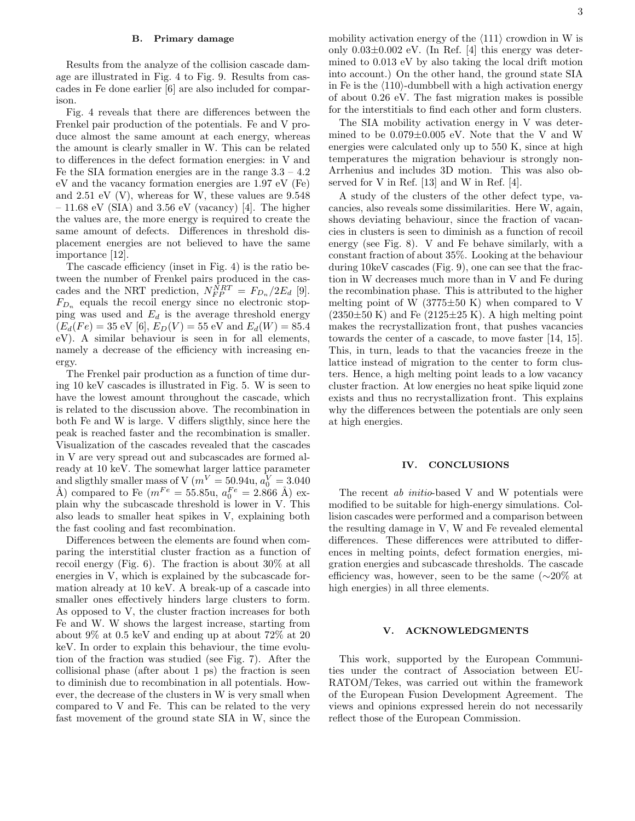#### B. Primary damage

Results from the analyze of the collision cascade damage are illustrated in Fig. 4 to Fig. 9. Results from cascades in Fe done earlier [6] are also included for comparison.

Fig. 4 reveals that there are differences between the Frenkel pair production of the potentials. Fe and V produce almost the same amount at each energy, whereas the amount is clearly smaller in W. This can be related to differences in the defect formation energies: in V and Fe the SIA formation energies are in the range  $3.3 - 4.2$ eV and the vacancy formation energies are 1.97 eV (Fe) and 2.51 eV (V), whereas for W, these values are 9.548  $-11.68$  eV (SIA) and 3.56 eV (vacancy) [4]. The higher the values are, the more energy is required to create the same amount of defects. Differences in threshold displacement energies are not believed to have the same importance [12].

The cascade efficiency (inset in Fig. 4) is the ratio between the number of Frenkel pairs produced in the cascades and the NRT prediction,  $N_{FP}^{NRT} = F_{D_n}/2E_d$  [9].  $F_{D_n}$  equals the recoil energy since no electronic stopping was used and  $E_d$  is the average threshold energy  $(E_d(Fe) = 35 \text{ eV [6]}, E_D(V) = 55 \text{ eV and } E_d(W) = 85.4$ eV). A similar behaviour is seen in for all elements, namely a decrease of the efficiency with increasing energy.

The Frenkel pair production as a function of time during 10 keV cascades is illustrated in Fig. 5. W is seen to have the lowest amount throughout the cascade, which is related to the discussion above. The recombination in both Fe and W is large. V differs sligthly, since here the peak is reached faster and the recombination is smaller. Visualization of the cascades revealed that the cascades in V are very spread out and subcascades are formed already at 10 keV. The somewhat larger lattice parameter and sligthly smaller mass of V ( $m^V = 50.94$ u,  $a_0^V = 3.040$ Å) compared to Fe  $(m^{Fe} = 55.85u, a_0^{Fe} = 2.866$  Å) explain why the subcascade threshold is lower in V. This also leads to smaller heat spikes in V, explaining both the fast cooling and fast recombination.

Differences between the elements are found when comparing the interstitial cluster fraction as a function of recoil energy (Fig. 6). The fraction is about 30% at all energies in V, which is explained by the subcascade formation already at 10 keV. A break-up of a cascade into smaller ones effectively hinders large clusters to form. As opposed to V, the cluster fraction increases for both Fe and W. W shows the largest increase, starting from about 9% at 0.5 keV and ending up at about 72% at 20 keV. In order to explain this behaviour, the time evolution of the fraction was studied (see Fig. 7). After the collisional phase (after about 1 ps) the fraction is seen to diminish due to recombination in all potentials. However, the decrease of the clusters in W is very small when compared to V and Fe. This can be related to the very fast movement of the ground state SIA in W, since the mobility activation energy of the  $\langle 111 \rangle$  crowdion in W is only  $0.03\pm0.002$  eV. (In Ref. [4] this energy was determined to 0.013 eV by also taking the local drift motion into account.) On the other hand, the ground state SIA in Fe is the  $\langle 110 \rangle$ -dumbbell with a high activation energy of about 0.26 eV. The fast migration makes is possible for the interstitials to find each other and form clusters.

The SIA mobility activation energy in V was determined to be 0.079±0.005 eV. Note that the V and W energies were calculated only up to 550 K, since at high temperatures the migration behaviour is strongly non-Arrhenius and includes 3D motion. This was also observed for V in Ref. [13] and W in Ref. [4].

A study of the clusters of the other defect type, vacancies, also reveals some dissimilarities. Here W, again, shows deviating behaviour, since the fraction of vacancies in clusters is seen to diminish as a function of recoil energy (see Fig. 8). V and Fe behave similarly, with a constant fraction of about 35%. Looking at the behaviour during 10keV cascades (Fig. 9), one can see that the fraction in W decreases much more than in V and Fe during the recombination phase. This is attributed to the higher melting point of W  $(3775 \pm 50 \text{ K})$  when compared to V  $(2350\pm50 \text{ K})$  and Fe  $(2125\pm25 \text{ K})$ . A high melting point makes the recrystallization front, that pushes vacancies towards the center of a cascade, to move faster [14, 15]. This, in turn, leads to that the vacancies freeze in the lattice instead of migration to the center to form clusters. Hence, a high melting point leads to a low vacancy cluster fraction. At low energies no heat spike liquid zone exists and thus no recrystallization front. This explains why the differences between the potentials are only seen at high energies.

#### IV. CONCLUSIONS

The recent ab initio-based V and W potentials were modified to be suitable for high-energy simulations. Collision cascades were performed and a comparison between the resulting damage in V, W and Fe revealed elemental differences. These differences were attributed to differences in melting points, defect formation energies, migration energies and subcascade thresholds. The cascade efficiency was, however, seen to be the same (∼20% at high energies) in all three elements.

#### V. ACKNOWLEDGMENTS

This work, supported by the European Communities under the contract of Association between EU-RATOM/Tekes, was carried out within the framework of the European Fusion Development Agreement. The views and opinions expressed herein do not necessarily reflect those of the European Commission.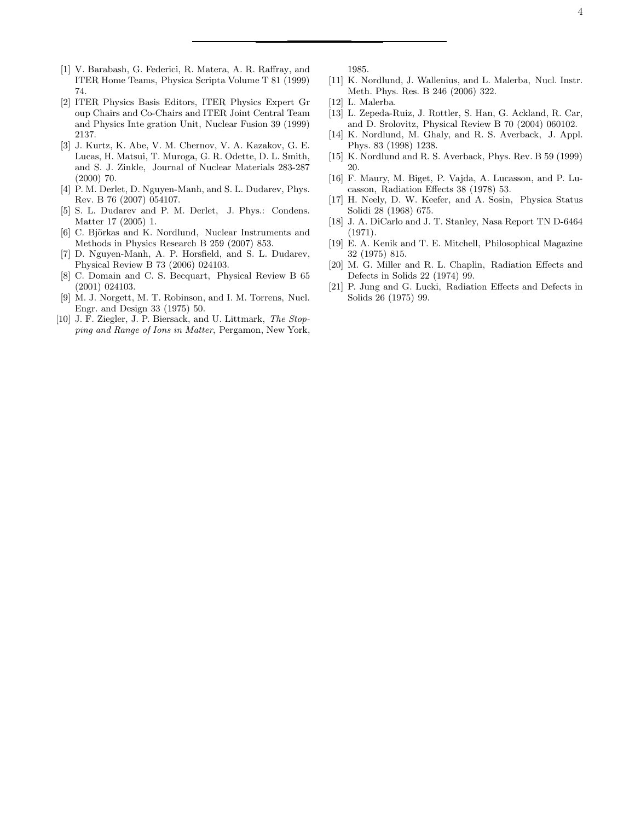- [1] V. Barabash, G. Federici, R. Matera, A. R. Raffray, and ITER Home Teams, Physica Scripta Volume T 81 (1999) 74.
- [2] ITER Physics Basis Editors, ITER Physics Expert Gr oup Chairs and Co-Chairs and ITER Joint Central Team and Physics Inte gration Unit, Nuclear Fusion 39 (1999) 2137.
- [3] J. Kurtz, K. Abe, V. M. Chernov, V. A. Kazakov, G. E. Lucas, H. Matsui, T. Muroga, G. R. Odette, D. L. Smith, and S. J. Zinkle, Journal of Nuclear Materials 283-287 (2000) 70.
- [4] P. M. Derlet, D. Nguyen-Manh, and S. L. Dudarev, Phys. Rev. B 76 (2007) 054107.
- [5] S. L. Dudarev and P. M. Derlet, J. Phys.: Condens. Matter 17 (2005) 1.
- [6] C. Björkas and K. Nordlund, Nuclear Instruments and Methods in Physics Research B 259 (2007) 853.
- [7] D. Nguyen-Manh, A. P. Horsfield, and S. L. Dudarev, Physical Review B 73 (2006) 024103.
- [8] C. Domain and C. S. Becquart, Physical Review B 65 (2001) 024103.
- [9] M. J. Norgett, M. T. Robinson, and I. M. Torrens, Nucl. Engr. and Design 33 (1975) 50.
- [10] J. F. Ziegler, J. P. Biersack, and U. Littmark, The Stopping and Range of Ions in Matter, Pergamon, New York,

1985.

- [11] K. Nordlund, J. Wallenius, and L. Malerba, Nucl. Instr. Meth. Phys. Res. B 246 (2006) 322.
- [12] L. Malerba.
- [13] L. Zepeda-Ruiz, J. Rottler, S. Han, G. Ackland, R. Car, and D. Srolovitz, Physical Review B 70 (2004) 060102.
- [14] K. Nordlund, M. Ghaly, and R. S. Averback, J. Appl. Phys. 83 (1998) 1238.
- [15] K. Nordlund and R. S. Averback, Phys. Rev. B 59 (1999) 20.
- [16] F. Maury, M. Biget, P. Vajda, A. Lucasson, and P. Lucasson, Radiation Effects 38 (1978) 53.
- [17] H. Neely, D. W. Keefer, and A. Sosin, Physica Status Solidi 28 (1968) 675.
- [18] J. A. DiCarlo and J. T. Stanley, Nasa Report TN D-6464 (1971).
- [19] E. A. Kenik and T. E. Mitchell, Philosophical Magazine 32 (1975) 815.
- [20] M. G. Miller and R. L. Chaplin, Radiation Effects and Defects in Solids 22 (1974) 99.
- [21] P. Jung and G. Lucki, Radiation Effects and Defects in Solids 26 (1975) 99.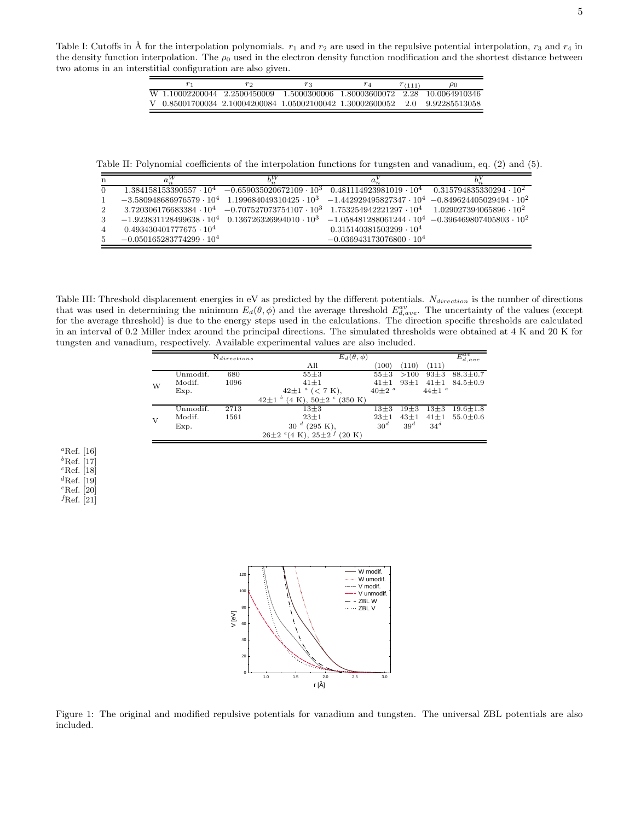Table I: Cutoffs in  $\AA$  for the interpolation polynomials.  $r_1$  and  $r_2$  are used in the repulsive potential interpolation,  $r_3$  and  $r_4$  in the density function interpolation. The  $\rho_0$  used in the electron density function modification and the shortest distance between two atoms in an interstitial configuration are also given.

|                                                           | ΥO |  | $r_{(111)}$ | $\rho_0$                                      |
|-----------------------------------------------------------|----|--|-------------|-----------------------------------------------|
| W 1.10002200044 2.2500450009                              |    |  |             | 1.5000300006 1.80003600072 2.28 10.0064910346 |
| V 0.85001700034 2.10004200084 1.05002100042 1.30002600052 |    |  |             | 2.0 9.92285513058                             |

Table II: Polynomial coefficients of the interpolation functions for tungsten and vanadium, eq. (2) and (5).

| n              |                                                                                                                         |                                                                                                                              |                                   |  |
|----------------|-------------------------------------------------------------------------------------------------------------------------|------------------------------------------------------------------------------------------------------------------------------|-----------------------------------|--|
| $\overline{0}$ |                                                                                                                         | $1.384158153390557 \cdot 10^4$ $-0.659035020672109 \cdot 10^3$ $0.481114923981019 \cdot 10^4$ $0.315794835330294 \cdot 10^2$ |                                   |  |
| $\mathbf{1}$   | $-3.580948686976579\cdot 10^4$ 1.199684049310425 · $10^3$ $-1.442929495827347\cdot 10^4$ $-0.849624405029494\cdot 10^2$ |                                                                                                                              |                                   |  |
| $\overline{2}$ |                                                                                                                         | $3.720306176683384\cdot 10^4$ $-0.707527073754107\cdot 10^3$ $1.753254942221297\cdot 10^4$ $1.029027394065896\cdot 10^2$     |                                   |  |
| 3              |                                                                                                                         | $-1.923831128499638\cdot 10^4$ $0.136726326994010\cdot 10^3$ $-1.058481288061244\cdot 10^4$ $-0.396469807405803\cdot 10^2$   |                                   |  |
| $\overline{4}$ | $0.493430401777675 \cdot 10^4$                                                                                          |                                                                                                                              | $0.315140381503299 \cdot 10^4$    |  |
| 5              | $-0.050165283774299\cdot 10^{4}$                                                                                        |                                                                                                                              | $-0.036943173076800 \cdot 10^{4}$ |  |

Table III: Threshold displacement energies in eV as predicted by the different potentials.  $N_{direction}$  is the number of directions that was used in determining the minimum  $E_d(\theta, \phi)$  and the average threshold  $E_{d,ave}^{av}$ . The uncertainty of the values (except for the average threshold) is due to the energy steps used in the calculations. The direction specific thresholds are calculated in an interval of 0.2 Miller index around the principal directions. The simulated thresholds were obtained at 4 K and 20 K for tungsten and vanadium, respectively. Available experimental values are also included.

|   | $N_{directions}$ |      |                                                      | $E_d(\theta, \phi)$         |                       |                       |                  |
|---|------------------|------|------------------------------------------------------|-----------------------------|-----------------------|-----------------------|------------------|
|   |                  |      | All                                                  | $^{\prime\prime}100^\prime$ | $\langle 110 \rangle$ | $\langle 111 \rangle$ | $E_{d,ave}^{av}$ |
|   | Unmodif.         | 680  | $55 + 3$                                             | $55 + 3$                    | >100                  | $93\pm3$              | $88.3 \pm 0.7$   |
| W | Modif.           | 1096 | $41 \pm 1$                                           | $41 \pm 1$                  | $93 + 1$              | $41 \pm 1$            | $84.5 \pm 0.9$   |
|   | Exp.             |      | $42\pm1$ $^{a}$ ( $< 7$ K),                          | $40\pm2$ <sup>a</sup>       |                       | $44\pm1$ <sup>a</sup> |                  |
|   |                  |      | b<br>$(4 K), 50 \pm 2$ $\degree$ (350 K)<br>$42 + 1$ |                             |                       |                       |                  |
|   | Unmodif.         | 2713 | $13\pm3$                                             | $13\pm3$                    | $19\pm3$              | $13 + 3$              | $19.6 \pm 1.8$   |
| V | Modif.           | 1561 | $23 + 1$                                             | $23 + 1$                    | $43 + 1$              | $41 \pm 1$            | $55.0 \pm 0.6$   |
|   | Exp.             |      | $(295 K)$ .<br>d<br>30                               | 30 <sup>d</sup>             | 39 <sup>d</sup>       | 34 <sup>d</sup>       |                  |
|   |                  |      | $26\pm2$ <sup>e</sup> (4 K), $25\pm2$<br>(20 K)      |                             |                       |                       |                  |

<sup>a</sup>Ref. [16]  ${}^b\mathrm{Ref.}$  [17]  ${}^{c}$ Ref. [18]  ${}^{d}$ Ref. [19]  $e$ Ref. [20]  $f$ Ref. [21]



Figure 1: The original and modified repulsive potentials for vanadium and tungsten. The universal ZBL potentials are also included.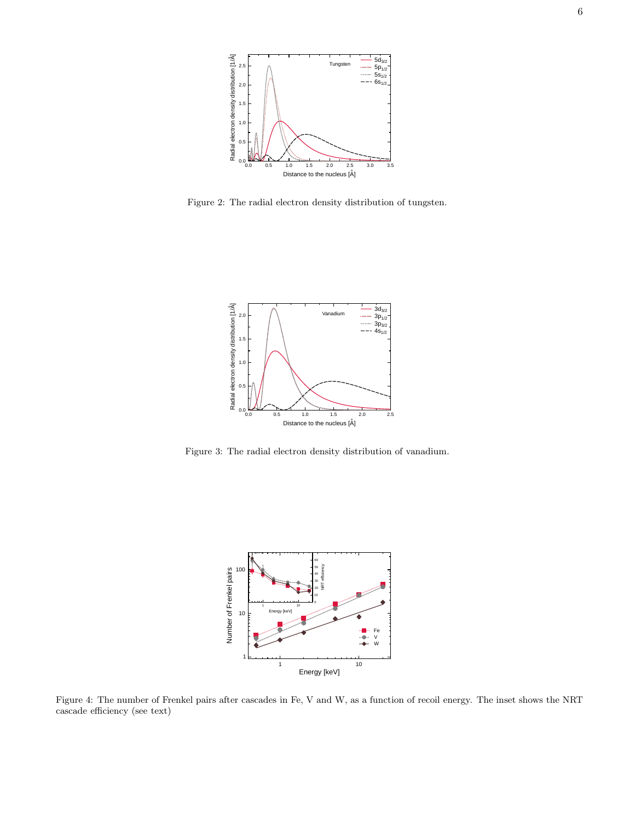

Figure 2: The radial electron density distribution of tungsten.



Figure 3: The radial electron density distribution of vanadium.



Figure 4: The number of Frenkel pairs after cascades in Fe, V and W, as a function of recoil energy. The inset shows the NRT cascade efficiency (see text)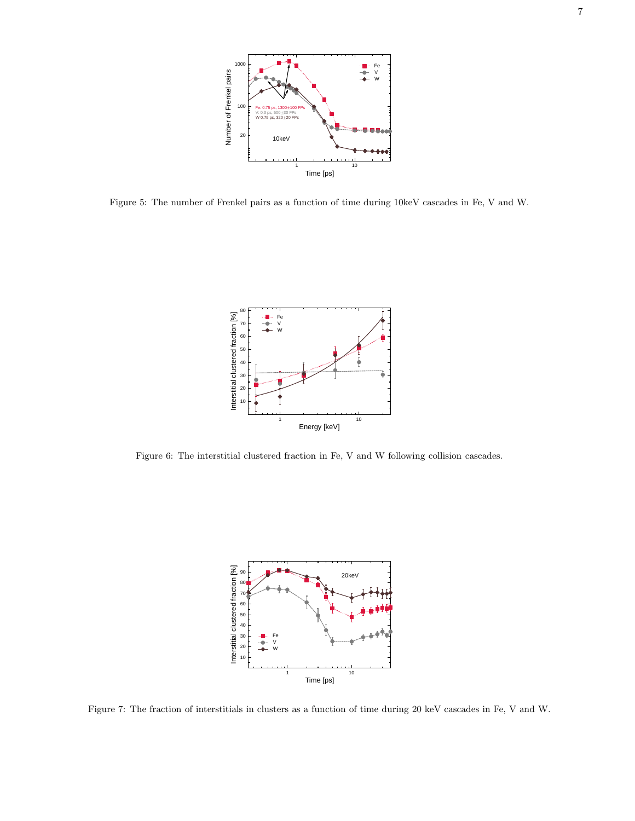

Figure 5: The number of Frenkel pairs as a function of time during 10keV cascades in Fe, V and W.



Figure 6: The interstitial clustered fraction in Fe, V and W following collision cascades.



Figure 7: The fraction of interstitials in clusters as a function of time during 20 keV cascades in Fe, V and W.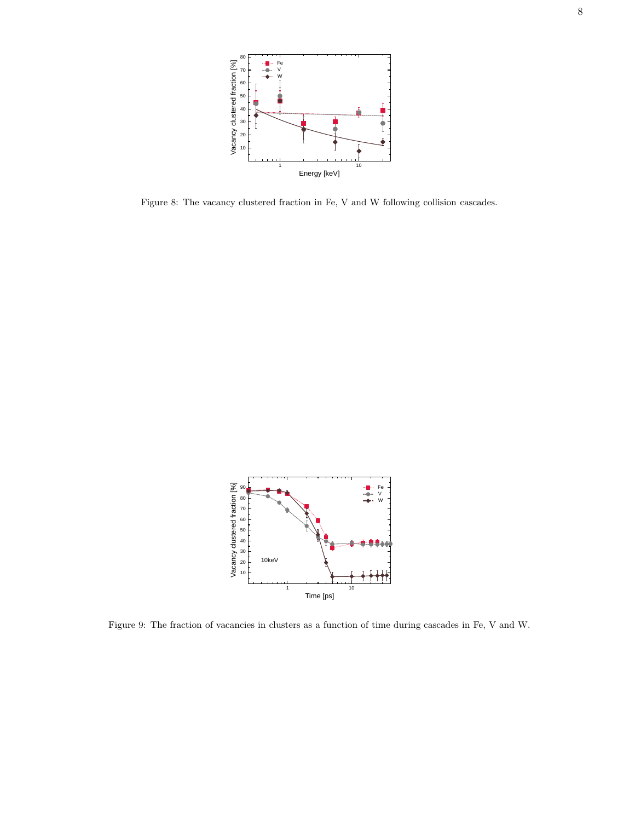

Figure 8: The vacancy clustered fraction in Fe, V and W following collision cascades.



Figure 9: The fraction of vacancies in clusters as a function of time during cascades in Fe, V and W.